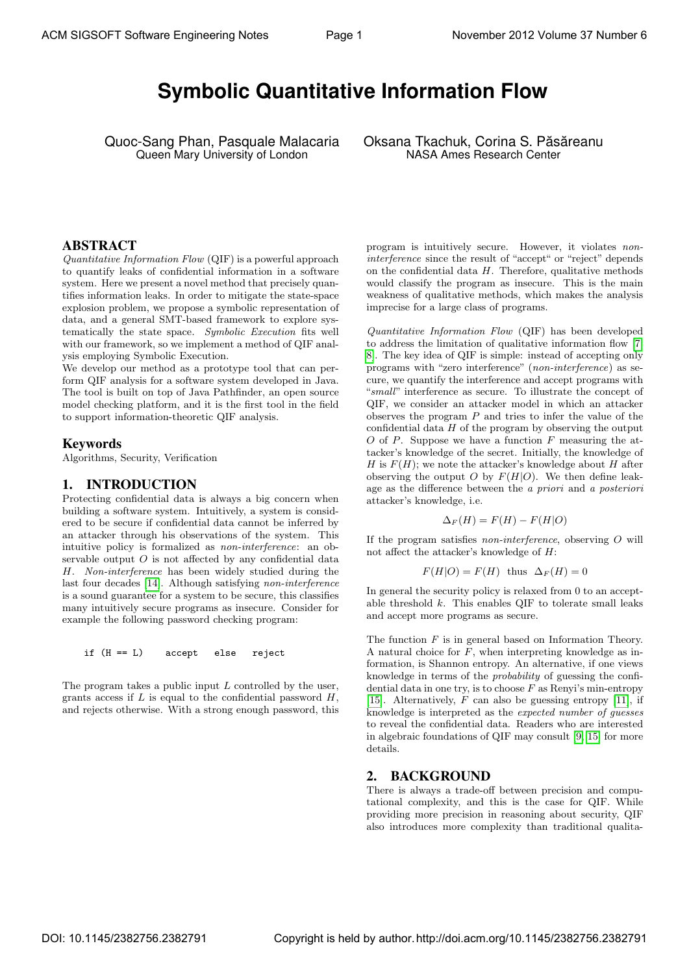# **Symbolic Quantitative Information Flow**

Quoc-Sang Phan, Pasquale Malacaria Queen Mary University of London

Oksana Tkachuk, Corina S. Păsăreanu NASA Ames Research Center

# ABSTRACT

Quantitative Information Flow (QIF) is a powerful approach to quantify leaks of confidential information in a software system. Here we present a novel method that precisely quantifies information leaks. In order to mitigate the state-space explosion problem, we propose a symbolic representation of data, and a general SMT-based framework to explore systematically the state space. Symbolic Execution fits well with our framework, so we implement a method of QIF analysis employing Symbolic Execution.

We develop our method as a prototype tool that can perform QIF analysis for a software system developed in Java. The tool is built on top of Java Pathfinder, an open source model checking platform, and it is the first tool in the field to support information-theoretic QIF analysis.

# Keywords

Algorithms, Security, Verification

### 1. INTRODUCTION

Protecting confidential data is always a big concern when building a software system. Intuitively, a system is considered to be secure if confidential data cannot be inferred by an attacker through his observations of the system. This intuitive policy is formalized as non-interference: an observable output  $O$  is not affected by any confidential data H. Non-interference has been widely studied during the last four decades [\[14\]](#page-4-0). Although satisfying non-interference is a sound guarantee for a system to be secure, this classifies many intuitively secure programs as insecure. Consider for example the following password checking program:

$$
if (H == L) \qquad accept \qquad else \qquad reject
$$

The program takes a public input  $L$  controlled by the user, grants access if  $L$  is equal to the confidential password  $H$ , and rejects otherwise. With a strong enough password, this

program is intuitively secure. However, it violates noninterference since the result of "accept" or "reject" depends on the confidential data  $H$ . Therefore, qualitative methods would classify the program as insecure. This is the main weakness of qualitative methods, which makes the analysis imprecise for a large class of programs.

Quantitative Information Flow (QIF) has been developed to address the limitation of qualitative information flow [\[7,](#page-4-1) [8\]](#page-4-2). The key idea of QIF is simple: instead of accepting only programs with "zero interference" (non-interference) as secure, we quantify the interference and accept programs with "small" interference as secure. To illustrate the concept of QIF, we consider an attacker model in which an attacker observes the program  $P$  and tries to infer the value of the confidential data  $H$  of the program by observing the output  $O$  of  $P$ . Suppose we have a function  $F$  measuring the attacker's knowledge of the secret. Initially, the knowledge of H is  $F(H)$ ; we note the attacker's knowledge about H after observing the output O by  $F(H|O)$ . We then define leakage as the difference between the a priori and a posteriori attacker's knowledge, i.e.

$$
\Delta_F(H) = F(H) - F(H|O)
$$

If the program satisfies non-interference, observing O will not affect the attacker's knowledge of H:

$$
F(H|O) = F(H)
$$
 thus  $\Delta_F(H) = 0$ 

In general the security policy is relaxed from 0 to an acceptable threshold  $k$ . This enables QIF to tolerate small leaks and accept more programs as secure.

The function  $F$  is in general based on Information Theory. A natural choice for  $F$ , when interpreting knowledge as information, is Shannon entropy. An alternative, if one views knowledge in terms of the probability of guessing the confidential data in one try, is to choose  $F$  as Renyi's min-entropy [\[15\]](#page-4-3). Alternatively,  $\overline{F}$  can also be guessing entropy [\[11\]](#page-4-4), if knowledge is interpreted as the expected number of guesses to reveal the confidential data. Readers who are interested in algebraic foundations of QIF may consult [\[9,](#page-4-5) [15\]](#page-4-3) for more details.

## 2. BACKGROUND

There is always a trade-off between precision and computational complexity, and this is the case for QIF. While providing more precision in reasoning about security, QIF also introduces more complexity than traditional qualita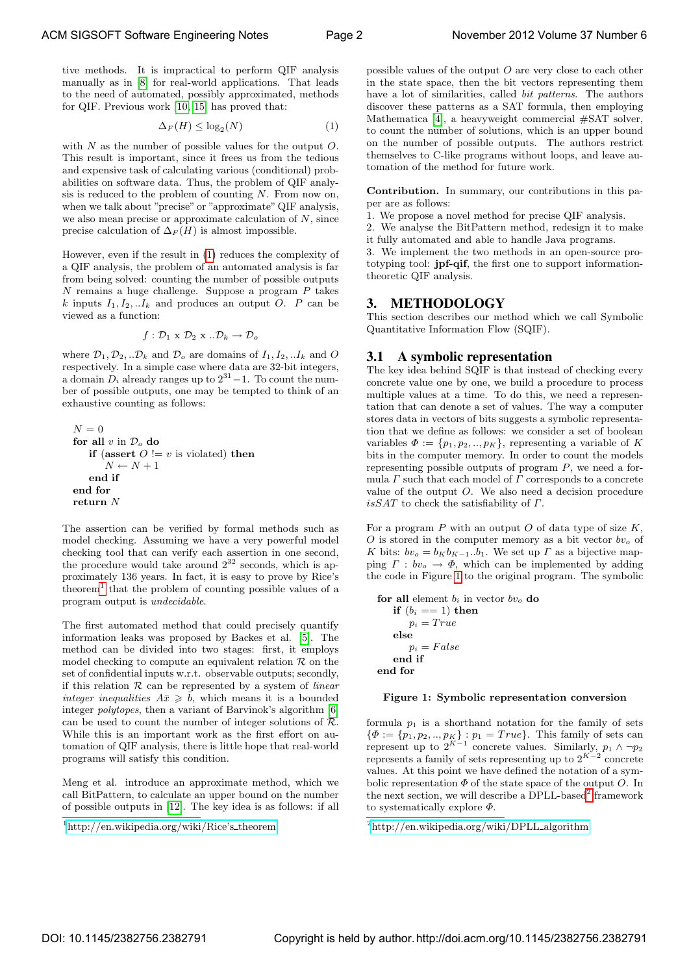tive methods. It is impractical to perform QIF analysis manually as in [\[8\]](#page-4-2) for real-world applications. That leads to the need of automated, possibly approximated, methods for QIF. Previous work [\[10,](#page-4-6) [15\]](#page-4-3) has proved that:

<span id="page-1-0"></span>
$$
\Delta_F(H) \le \log_2(N) \tag{1}
$$

with  $N$  as the number of possible values for the output  $O$ . This result is important, since it frees us from the tedious and expensive task of calculating various (conditional) probabilities on software data. Thus, the problem of QIF analysis is reduced to the problem of counting  $N$ . From now on, when we talk about "precise" or "approximate" QIF analysis, we also mean precise or approximate calculation of  $N$ , since precise calculation of  $\Delta_F(H)$  is almost impossible.

However, even if the result in [\(1\)](#page-1-0) reduces the complexity of a QIF analysis, the problem of an automated analysis is far from being solved: counting the number of possible outputs N remains a huge challenge. Suppose a program P takes k inputs  $I_1, I_2, \ldots I_k$  and produces an output O. P can be viewed as a function:

$$
f: \mathcal{D}_1 \times \mathcal{D}_2 \times ..\mathcal{D}_k \to \mathcal{D}_o
$$

where  $\mathcal{D}_1, \mathcal{D}_2, \ldots \mathcal{D}_k$  and  $\mathcal{D}_o$  are domains of  $I_1, I_2, \ldots I_k$  and O respectively. In a simple case where data are 32-bit integers, a domain  $D_i$  already ranges up to  $2^{31} - 1$ . To count the number of possible outputs, one may be tempted to think of an exhaustive counting as follows:

$$
N = 0
$$
  
for all  $v$  in  $\mathcal{D}_o$  do  
if (assert  $O := v$  is violated) then  

$$
N \leftarrow N + 1
$$
  
end if  
end for  
return  $N$ 

The assertion can be verified by formal methods such as model checking. Assuming we have a very powerful model checking tool that can verify each assertion in one second, the procedure would take around  $2^{32}$  seconds, which is approximately 136 years. In fact, it is easy to prove by Rice's theorem<sup>[1](#page-1-1)</sup> that the problem of counting possible values of a program output is undecidable.

The first automated method that could precisely quantify information leaks was proposed by Backes et al. [\[5\]](#page-4-7). The method can be divided into two stages: first, it employs model checking to compute an equivalent relation  $\mathcal R$  on the set of confidential inputs w.r.t. observable outputs; secondly, if this relation  $R$  can be represented by a system of *linear* integer inequalities  $A\bar{x} \geq \bar{b}$ , which means it is a bounded integer polytopes, then a variant of Barvinok's algorithm [\[6\]](#page-4-8) can be used to count the number of integer solutions of  $\mathcal{R}$ . While this is an important work as the first effort on automation of QIF analysis, there is little hope that real-world programs will satisfy this condition.

Meng et al. introduce an approximate method, which we call BitPattern, to calculate an upper bound on the number of possible outputs in [\[12\]](#page-4-9). The key idea is as follows: if all

possible values of the output  $O$  are very close to each other in the state space, then the bit vectors representing them have a lot of similarities, called *bit patterns*. The authors discover these patterns as a SAT formula, then employing Mathematica [\[4\]](#page-4-10), a heavyweight commercial #SAT solver, to count the number of solutions, which is an upper bound on the number of possible outputs. The authors restrict themselves to C-like programs without loops, and leave automation of the method for future work.

Contribution. In summary, our contributions in this paper are as follows:

1. We propose a novel method for precise QIF analysis.

2. We analyse the BitPattern method, redesign it to make it fully automated and able to handle Java programs.

3. We implement the two methods in an open-source prototyping tool: jpf-qif, the first one to support informationtheoretic QIF analysis.

# 3. METHODOLOGY

This section describes our method which we call Symbolic Quantitative Information Flow (SQIF).

# 3.1 A symbolic representation

The key idea behind SQIF is that instead of checking every concrete value one by one, we build a procedure to process multiple values at a time. To do this, we need a representation that can denote a set of values. The way a computer stores data in vectors of bits suggests a symbolic representation that we define as follows: we consider a set of boolean variables  $\Phi := \{p_1, p_2, ..., p_K\}$ , representing a variable of K bits in the computer memory. In order to count the models representing possible outputs of program P, we need a formula  $\Gamma$  such that each model of  $\Gamma$  corresponds to a concrete value of the output  $O$ . We also need a decision procedure  $is SAT$  to check the satisfiability of  $\Gamma$ .

For a program  $P$  with an output  $O$  of data type of size  $K$ ,  $O$  is stored in the computer memory as a bit vector  $bv_o$  of K bits:  $bv_o = b_K b_{K-1}...b_1$ . We set up  $\Gamma$  as a bijective mapping  $\Gamma : bv_{\sigma} \to \Phi$ , which can be implemented by adding the code in Figure [1](#page-1-2) to the original program. The symbolic

```
for all element b_i in vector bv_o do
   if (b_i == 1) then
      p_i = Trueelse
      p_i = Falseend if
end for
```
#### <span id="page-1-2"></span>Figure 1: Symbolic representation conversion

formula  $p_1$  is a shorthand notation for the family of sets  $\{\Phi := \{p_1, p_2, ..., p_K\} : p_1 = True\}.$  This family of sets can represent up to  $2^{K-1}$  concrete values. Similarly,  $p_1 \wedge \neg p_2$ represents a family of sets representing up to  $2^{K-2}$  concrete values. At this point we have defined the notation of a symbolic representation  $\Phi$  of the state space of the output O. In the next section, we will describe a DPLL-based<sup>[2](#page-1-3)</sup> framework to systematically explore  $\Phi$ .

<span id="page-1-1"></span> $1$ [http://en.wikipedia.org/wiki/Rice's](http://en.wikipedia.org/wiki/Rice%27s_theorem)\_theorem

<span id="page-1-3"></span> $^{2}$ [http://en.wikipedia.org/wiki/DPLL](http://en.wikipedia.org/wiki/DPLL_algorithm)\_algorithm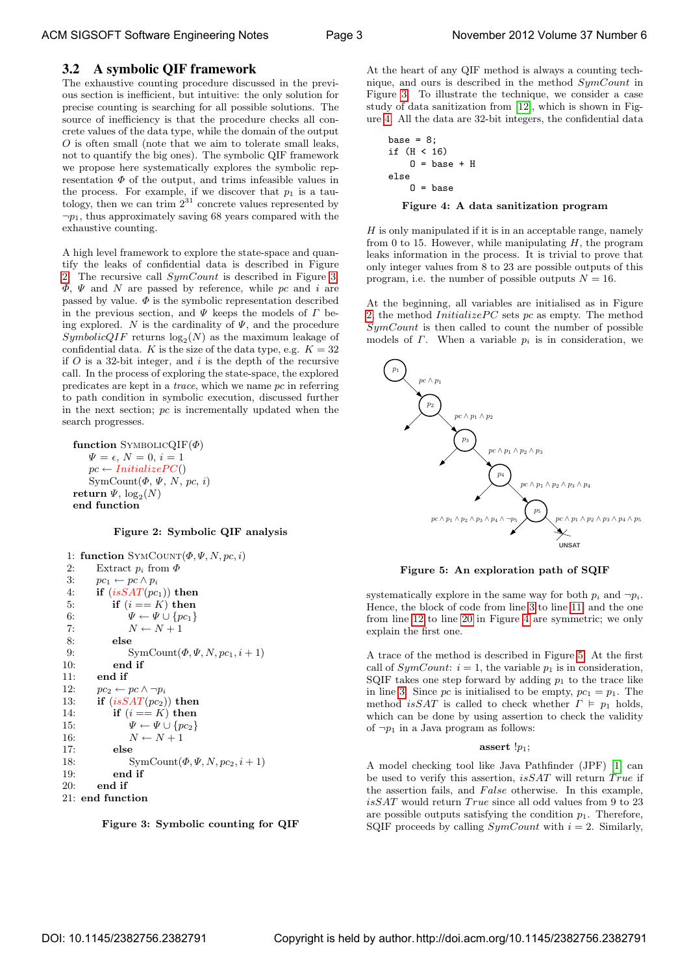# <span id="page-2-3"></span>3.2 A symbolic QIF framework

The exhaustive counting procedure discussed in the previous section is inefficient, but intuitive: the only solution for precise counting is searching for all possible solutions. The source of inefficiency is that the procedure checks all concrete values of the data type, while the domain of the output  $O$  is often small (note that we aim to tolerate small leaks, not to quantify the big ones). The symbolic QIF framework we propose here systematically explores the symbolic representation  $\Phi$  of the output, and trims infeasible values in the process. For example, if we discover that  $p_1$  is a tautology, then we can trim  $2^{31}$  concrete values represented by  $\neg p_1$ , thus approximately saving 68 years compared with the exhaustive counting.

A high level framework to explore the state-space and quantify the leaks of confidential data is described in Figure [2.](#page-2-0) The recursive call SymCount is described in Figure [3.](#page-2-1)  $\Phi$ ,  $\Psi$  and N are passed by reference, while pc and i are passed by value.  $\Phi$  is the symbolic representation described in the previous section, and  $\Psi$  keeps the models of  $\Gamma$  being explored. N is the cardinality of  $\Psi$ , and the procedure  $SymbolicQIF$  returns  $log<sub>2</sub>(N)$  as the maximum leakage of confidential data. K is the size of the data type, e.g.  $K = 32$ if  $O$  is a 32-bit integer, and  $i$  is the depth of the recursive call. In the process of exploring the state-space, the explored predicates are kept in a trace, which we name pc in referring to path condition in symbolic execution, discussed further in the next section; pc is incrementally updated when the search progresses.

function SYMBOLICQIF $(\Phi)$  $\Psi = \epsilon$ ,  $N = 0$ ,  $i = 1$  $pc \leftarrow Initialize PC()$  $\text{SymCount}(\Phi, \Psi, N, pc, i)$  $\mathbf{return}\ \Psi, \ \log_2(N)$ end function

#### <span id="page-2-0"></span>Figure 2: Symbolic QIF analysis

1: function  $\text{SymCOUNT}(\Phi, \Psi, N, pc, i)$ 2: Extract  $p_i$  from  $\Phi$ 3:  $pc_1 \leftarrow pc \wedge p_i$ 4: **if**  $(isSAT(pc_1))$  then<br>5: **if**  $(i == K)$  then if  $(i == K)$  then 6:  $\Psi \leftarrow \Psi \cup \{pc_1\}$ 7:  $N \leftarrow N + 1$ 8: else 9: SymCount $(\Phi, \Psi, N, pc_1, i+1)$ 10: end if 11: end if 12:  $pc_2 \leftarrow pc \wedge \neg p_i$ 13: if  $(isSAT(pc_2))$  then 14: if  $(i == K)$  then 15:  $\Psi \leftarrow \Psi \cup \{pc_2\}$ 16:  $N \leftarrow N + 1$ 17: else 18: SymCount $(\Phi, \Psi, N, pc_2, i+1)$ <br>19: end if end if  $20<sup>°</sup>$  end if 21: end function

<span id="page-2-1"></span>Figure 3: Symbolic counting for QIF

At the heart of any QIF method is always a counting technique, and ours is described in the method SymCount in Figure [3.](#page-2-1) To illustrate the technique, we consider a case study of data sanitization from [\[12\]](#page-4-9), which is shown in Figure [4.](#page-2-2) All the data are 32-bit integers, the confidential data

$$
base = 8;
$$
  
if (H < 16)  

$$
0 = base + H
$$
  
else  

$$
0 = base
$$

#### <span id="page-2-2"></span>Figure 4: A data sanitization program

 $H$  is only manipulated if it is in an acceptable range, namely from 0 to 15. However, while manipulating  $H$ , the program leaks information in the process. It is trivial to prove that only integer values from 8 to 23 are possible outputs of this program, i.e. the number of possible outputs  $N = 16$ .

At the beginning, all variables are initialised as in Figure [2,](#page-2-0) the method *InitializePC* sets pc as empty. The method  $SymCount$  is then called to count the number of possible models of  $\Gamma$ . When a variable  $p_i$  is in consideration, we



<span id="page-2-4"></span>Figure 5: An exploration path of SQIF

systematically explore in the same way for both  $p_i$  and  $\neg p_i$ . Hence, the block of code from line [3](#page-2-0) to line [11,](#page-2-0) and the one from line [12](#page-2-0) to line [20](#page-2-0) in Figure [4](#page-2-3) are symmetric; we only explain the first one.

A trace of the method is described in Figure [5.](#page-2-4) At the first call of  $SymCount: i = 1$ , the variable  $p_1$  is in consideration, SQIF takes one step forward by adding  $p_1$  to the trace like in line [3.](#page-2-0) Since pc is initialised to be empty,  $pc_1 = p_1$ . The method *isSAT* is called to check whether  $\Gamma \models p_1$  holds, which can be done by using assertion to check the validity of  $\neg p_1$  in a Java program as follows:

#### assert  $!p_1;$

A model checking tool like Java Pathfinder (JPF) [\[1\]](#page-4-11) can be used to verify this assertion,  $isSAT$  will return  $True$  if the assertion fails, and False otherwise. In this example,  $is SAT$  would return  $True$  since all odd values from 9 to 23 are possible outputs satisfying the condition  $p_1$ . Therefore, SQIF proceeds by calling  $SymCount$  with  $i = 2$ . Similarly,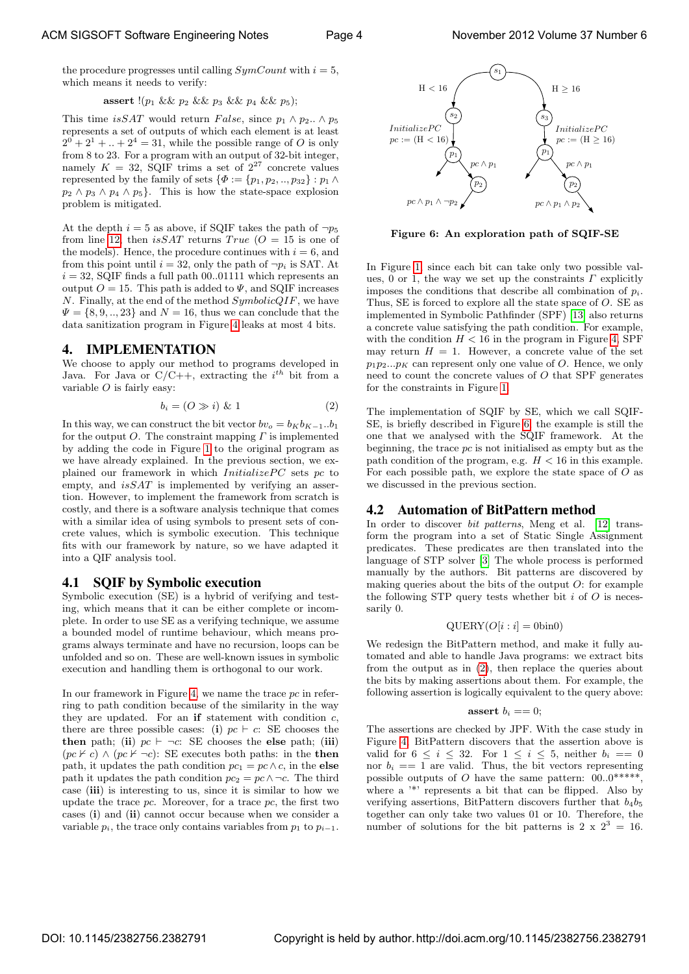the procedure progresses until calling  $SymCount$  with  $i = 5$ , which means it needs to verify:

#### assert  $!(p_1 \& \& p_2 \& \& p_3 \& \& p_4 \& \& p_5);$

This time isSAT would return False, since  $p_1 \wedge p_2 \wedge p_5$ represents a set of outputs of which each element is at least  $2^0 + 2^1 + ... + 2^4 = 31$ , while the possible range of O is only from 8 to 23. For a program with an output of 32-bit integer, namely  $K = 32$ , SQIF trims a set of  $2^{27}$  concrete values represented by the family of sets  $\{\Phi := \{p_1, p_2, ..., p_{32}\} : p_1 \wedge$  $p_2 \wedge p_3 \wedge p_4 \wedge p_5$ . This is how the state-space explosion problem is mitigated.

At the depth  $i = 5$  as above, if SQIF takes the path of  $\neg p_5$ from line [12,](#page-2-0) then  $isSAT$  returns  $True$  ( $O = 15$  is one of the models). Hence, the procedure continues with  $i = 6$ , and from this point until  $i = 32$ , only the path of  $\neg p_i$  is SAT. At  $i = 32$ , SQIF finds a full path 00..01111 which represents an output  $O = 15$ . This path is added to  $\Psi$ , and SQIF increases N. Finally, at the end of the method  $SymbolicQIF$ , we have  $\Psi = \{8, 9, \ldots, 23\}$  and  $N = 16$ , thus we can conclude that the data sanitization program in Figure [4](#page-2-2) leaks at most 4 bits.

#### 4. IMPLEMENTATION

We choose to apply our method to programs developed in Java. For Java or  $C/C++$ , extracting the  $i^{th}$  bit from a variable  $O$  is fairly easy:

<span id="page-3-1"></span>
$$
b_i = (O \gg i) \& 1 \tag{2}
$$

In this way, we can construct the bit vector  $bv_0 = b_Kb_{K-1}..b_1$ for the output  $O$ . The constraint mapping  $\Gamma$  is implemented by adding the code in Figure [1](#page-1-2) to the original program as we have already explained. In the previous section, we explained our framework in which  $Initialize PC$  sets pc to empty, and  $isSAT$  is implemented by verifying an assertion. However, to implement the framework from scratch is costly, and there is a software analysis technique that comes with a similar idea of using symbols to present sets of concrete values, which is symbolic execution. This technique fits with our framework by nature, so we have adapted it into a QIF analysis tool.

# 4.1 SQIF by Symbolic execution

Symbolic execution (SE) is a hybrid of verifying and testing, which means that it can be either complete or incomplete. In order to use SE as a verifying technique, we assume a bounded model of runtime behaviour, which means programs always terminate and have no recursion, loops can be unfolded and so on. These are well-known issues in symbolic execution and handling them is orthogonal to our work.

In our framework in Figure [4,](#page-2-3) we name the trace  $pc$  in referring to path condition because of the similarity in the way they are updated. For an if statement with condition c, there are three possible cases: (i)  $pc \vdash c$ : SE chooses the then path; (ii)  $pc \vdash \neg c$ : SE chooses the else path; (iii)  $(pc \nvdash c) \wedge (pc \nvdash \neg c)$ : SE executes both paths: in the then path, it updates the path condition  $pc_1 = pc \wedge c$ , in the else path it updates the path condition  $pc_2 = pc \wedge \neg c$ . The third case (iii) is interesting to us, since it is similar to how we update the trace  $pc$ . Moreover, for a trace  $pc$ , the first two cases (i) and (ii) cannot occur because when we consider a variable  $p_i$ , the trace only contains variables from  $p_1$  to  $p_{i-1}$ .



<span id="page-3-0"></span>Figure 6: An exploration path of SQIF-SE

In Figure [1,](#page-1-2) since each bit can take only two possible values, 0 or 1, the way we set up the constraints  $\Gamma$  explicitly imposes the conditions that describe all combination of  $p_i$ . Thus, SE is forced to explore all the state space of O. SE as implemented in Symbolic Pathfinder (SPF) [\[13\]](#page-4-12) also returns a concrete value satisfying the path condition. For example, with the condition  $H < 16$  in the program in Figure [4,](#page-2-2) SPF may return  $H = 1$ . However, a concrete value of the set  $p_1p_2...p_K$  can represent only one value of O. Hence, we only need to count the concrete values of O that SPF generates for the constraints in Figure [1.](#page-1-2)

The implementation of SQIF by SE, which we call SQIF-SE, is briefly described in Figure [6;](#page-3-0) the example is still the one that we analysed with the SQIF framework. At the beginning, the trace  $pc$  is not initialised as empty but as the path condition of the program, e.g.  $H < 16$  in this example. For each possible path, we explore the state space of  $O$  as we discussed in the previous section.

#### 4.2 Automation of BitPattern method

In order to discover bit patterns, Meng et al. [\[12\]](#page-4-9) transform the program into a set of Static Single Assignment predicates. These predicates are then translated into the language of STP solver [\[3\]](#page-4-13) The whole process is performed manually by the authors. Bit patterns are discovered by making queries about the bits of the output  $O$ : for example the following STP query tests whether bit  $i$  of  $O$  is necessarily 0.

$$
QUERY(O[i:i] = 0bin0)
$$

We redesign the BitPattern method, and make it fully automated and able to handle Java programs: we extract bits from the output as in [\(2\)](#page-3-1), then replace the queries about the bits by making assertions about them. For example, the following assertion is logically equivalent to the query above:

$$
assert b_i == 0;
$$

The assertions are checked by JPF. With the case study in Figure [4,](#page-2-2) BitPattern discovers that the assertion above is valid for  $6 \le i \le 32$ . For  $1 \le i \le 5$ , neither  $b_i == 0$ nor  $b_i == 1$  are valid. Thus, the bit vectors representing possible outputs of O have the same pattern:  $00.0$ <sup>\*\*\*\*\*</sup>, where a <sup>\*\*</sup>' represents a bit that can be flipped. Also by verifying assertions, BitPattern discovers further that  $b_4b_5$ together can only take two values 01 or 10. Therefore, the number of solutions for the bit patterns is  $2 \times 2^3 = 16$ .